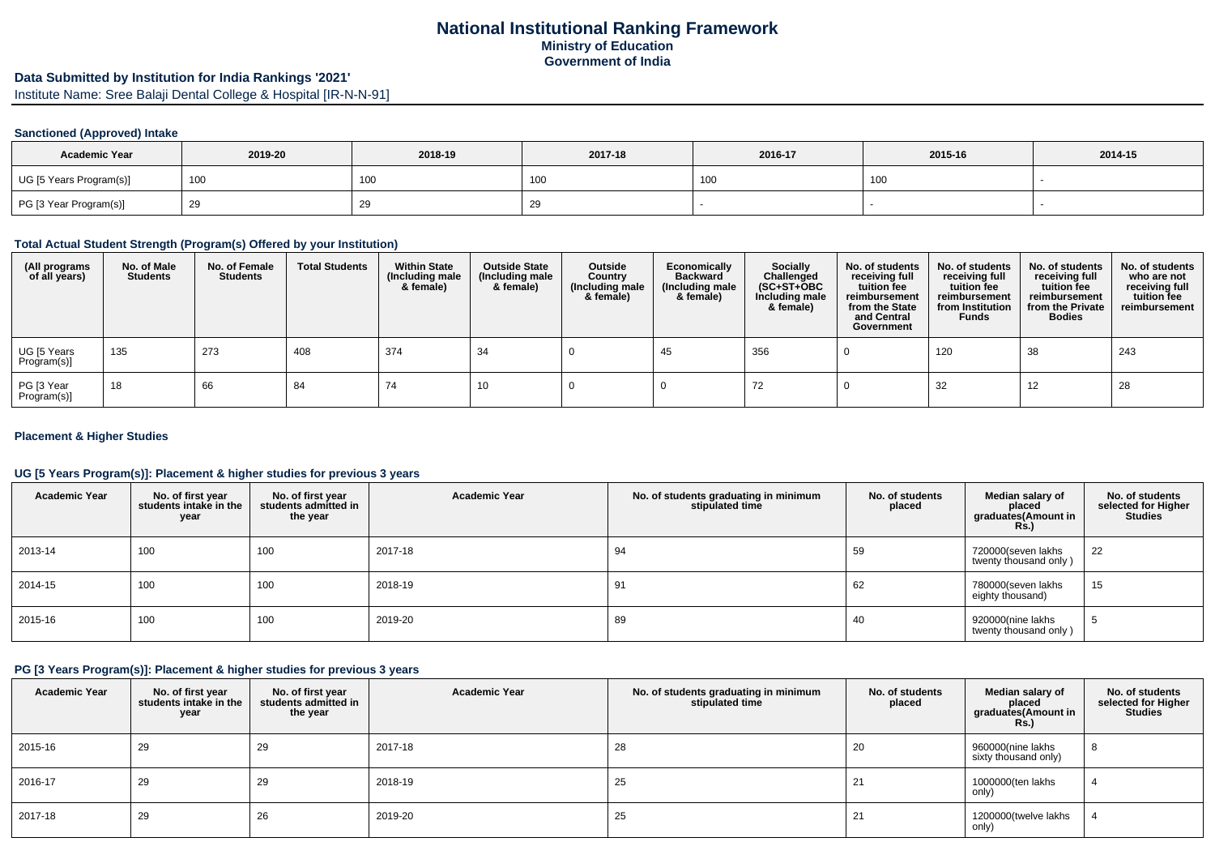## **National Institutional Ranking FrameworkMinistry of EducationGovernment of India**

# **Data Submitted by Institution for India Rankings '2021'**

Institute Name: Sree Balaji Dental College & Hospital [IR-N-N-91]

### **Sanctioned (Approved) Intake**

| <b>Academic Year</b>    | 2019-20 | 2018-19 | 2017-18 | 2016-17 | 2015-16 | 2014-15 |
|-------------------------|---------|---------|---------|---------|---------|---------|
| UG [5 Years Program(s)] | 100     | 100     | 100     | 100     | 100     |         |
| PG [3 Year Program(s)]  | -29     | ∠ສ      | ∠ৼ      |         |         |         |

### **Total Actual Student Strength (Program(s) Offered by your Institution)**

| (All programs<br>of all years) | No. of Male<br><b>Students</b> | No. of Female<br>Students | <b>Total Students</b> | <b>Within State</b><br>(Including male<br>& female) | <b>Outside State</b><br>(Including male<br>& female) | Outside<br>Country<br>(Including male<br>& female) | Economically<br><b>Backward</b><br>(Including male<br>& female) | <b>Socially</b><br>Challenged<br>$(SC+ST+OBC)$<br>Including male<br>& female) | No. of students<br>receiving full<br>tuition fee<br>reimbursement<br>from the State<br>and Central<br>Government | No. of students<br>receiving full<br>tuition fee<br>reimbursement<br>from Institution<br><b>Funds</b> | No. of students<br>receiving full<br>tuition fee<br>reimbursement<br>from the Private<br><b>Bodies</b> | No. of students<br>who are not<br>receiving full<br>tuition fee<br>reimbursement |
|--------------------------------|--------------------------------|---------------------------|-----------------------|-----------------------------------------------------|------------------------------------------------------|----------------------------------------------------|-----------------------------------------------------------------|-------------------------------------------------------------------------------|------------------------------------------------------------------------------------------------------------------|-------------------------------------------------------------------------------------------------------|--------------------------------------------------------------------------------------------------------|----------------------------------------------------------------------------------|
| UG [5 Years<br>Program(s)]     | 135                            | 273                       | 408                   | 374                                                 | -34                                                  |                                                    | 45                                                              | 356                                                                           |                                                                                                                  | 120                                                                                                   | 38                                                                                                     | 243                                                                              |
| PG [3 Year<br>Program(s)]      | 18                             | 66                        | -84                   | 74                                                  | 10                                                   |                                                    |                                                                 | 72                                                                            |                                                                                                                  | 32                                                                                                    | 12                                                                                                     | 28                                                                               |

#### **Placement & Higher Studies**

### **UG [5 Years Program(s)]: Placement & higher studies for previous 3 years**

| <b>Academic Year</b> | No. of first year<br>students intake in the<br>year | No. of first vear<br>students admitted in<br>the year | <b>Academic Year</b> | No. of students graduating in minimum<br>stipulated time | No. of students<br>placed | Median salary of<br>placed<br>graduates(Amount in<br>Rs.) | No. of students<br>selected for Higher<br><b>Studies</b> |
|----------------------|-----------------------------------------------------|-------------------------------------------------------|----------------------|----------------------------------------------------------|---------------------------|-----------------------------------------------------------|----------------------------------------------------------|
| 2013-14              | 100                                                 | 100                                                   | 2017-18              | 94                                                       | 59                        | 720000(seven lakhs<br>twenty thousand only)               | 22                                                       |
| 2014-15              | 100                                                 | 100                                                   | 2018-19              | 91                                                       | 62                        | 780000(seven lakhs<br>eighty thousand)                    | 15                                                       |
| 2015-16              | 100                                                 | 100                                                   | 2019-20              | 89                                                       | 40                        | 920000(nine lakhs<br>twenty thousand only)                |                                                          |

## **PG [3 Years Program(s)]: Placement & higher studies for previous 3 years**

| <b>Academic Year</b> | No. of first year<br>students intake in the<br>year | No. of first year<br>students admitted in<br>the year | <b>Academic Year</b> | No. of students graduating in minimum<br>stipulated time | No. of students<br>placed | Median salary of<br>placed<br>graduates(Amount in<br><b>Rs.)</b> | No. of students<br>selected for Higher<br><b>Studies</b> |
|----------------------|-----------------------------------------------------|-------------------------------------------------------|----------------------|----------------------------------------------------------|---------------------------|------------------------------------------------------------------|----------------------------------------------------------|
| 2015-16              | 29                                                  | 29                                                    | 2017-18              | 28                                                       | 20                        | 960000(nine lakhs<br>sixty thousand only)                        | 8                                                        |
| 2016-17              | 29                                                  | 29                                                    | 2018-19              | 25                                                       | 21                        | 1000000(ten lakhs<br>only)                                       |                                                          |
| 2017-18              | 29                                                  | 26                                                    | 2019-20              | 25                                                       | 21                        | 1200000(twelve lakhs<br>only)                                    |                                                          |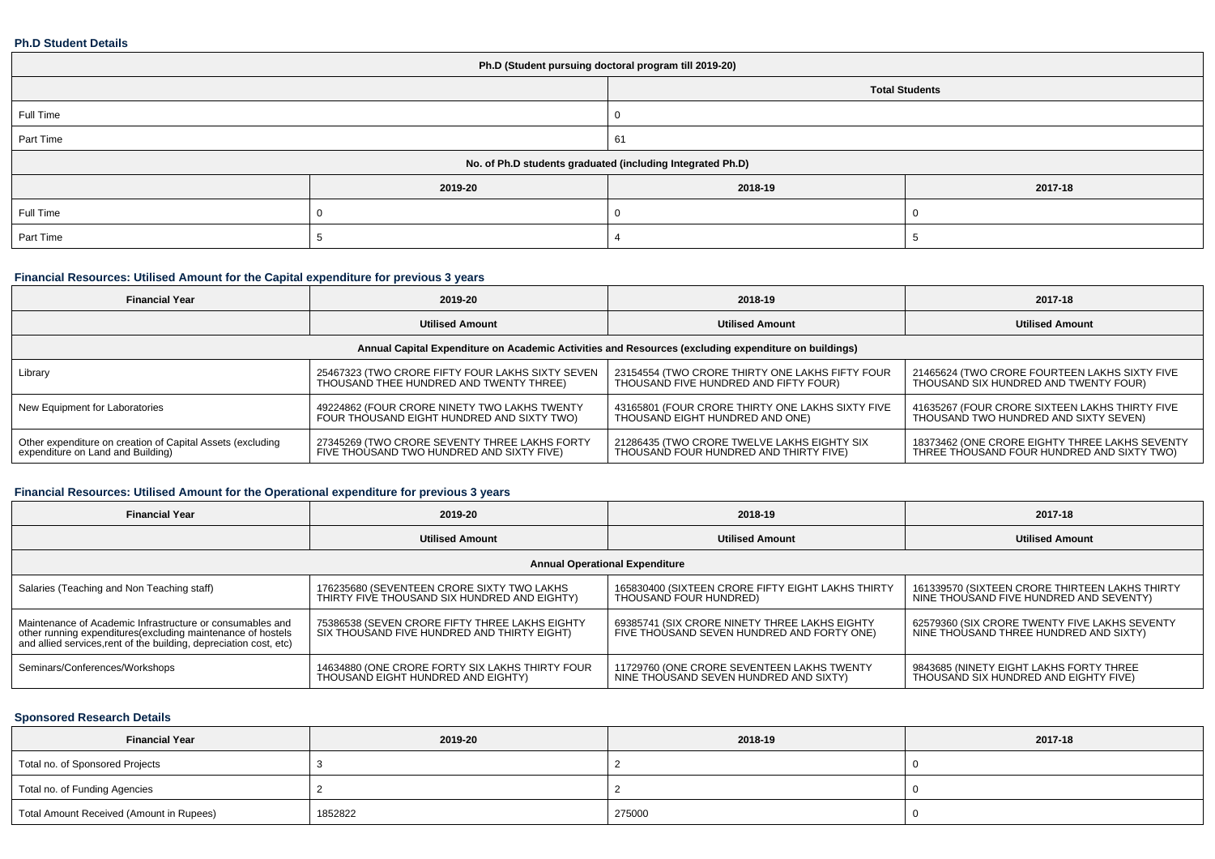#### **Ph.D Student Details**

| Ph.D (Student pursuing doctoral program till 2019-20)      |         |                       |         |  |  |
|------------------------------------------------------------|---------|-----------------------|---------|--|--|
|                                                            |         | <b>Total Students</b> |         |  |  |
| Full Time                                                  |         | v                     |         |  |  |
| Part Time                                                  |         | 61                    |         |  |  |
| No. of Ph.D students graduated (including Integrated Ph.D) |         |                       |         |  |  |
|                                                            | 2019-20 | 2018-19               | 2017-18 |  |  |
| Full Time                                                  |         |                       |         |  |  |
| Part Time                                                  |         |                       |         |  |  |

## **Financial Resources: Utilised Amount for the Capital expenditure for previous 3 years**

| <b>Financial Year</b>                                                                                | 2019-20                                          | 2018-19                                          | 2017-18                                        |  |  |
|------------------------------------------------------------------------------------------------------|--------------------------------------------------|--------------------------------------------------|------------------------------------------------|--|--|
|                                                                                                      | <b>Utilised Amount</b>                           | <b>Utilised Amount</b>                           | <b>Utilised Amount</b>                         |  |  |
| Annual Capital Expenditure on Academic Activities and Resources (excluding expenditure on buildings) |                                                  |                                                  |                                                |  |  |
| Library                                                                                              | 25467323 (TWO CRORE FIFTY FOUR LAKHS SIXTY SEVEN | 23154554 (TWO CRORE THIRTY ONE LAKHS FIFTY FOUR  | 21465624 (TWO CRORE FOURTEEN LAKHS SIXTY FIVE  |  |  |
|                                                                                                      | THOUSAND THEE HUNDRED AND TWENTY THREE)          | THOUSAND FIVE HUNDRED AND FIFTY FOUR)            | THOUSAND SIX HUNDRED AND TWENTY FOUR)          |  |  |
| New Equipment for Laboratories                                                                       | 49224862 (FOUR CRORE NINETY TWO LAKHS TWENTY     | 43165801 (FOUR CRORE THIRTY ONE LAKHS SIXTY FIVE | 41635267 (FOUR CRORE SIXTEEN LAKHS THIRTY FIVE |  |  |
|                                                                                                      | FOUR THOUSAND EIGHT HUNDRED AND SIXTY TWO)       | THOUSAND EIGHT HUNDRED AND ONE)                  | THOUSAND TWO HUNDRED AND SIXTY SEVEN)          |  |  |
| Other expenditure on creation of Capital Assets (excluding                                           | 27345269 (TWO CRORE SEVENTY THREE LAKHS FORTY    | 21286435 (TWO CRORE TWELVE LAKHS EIGHTY SIX      | 18373462 (ONE CRORE EIGHTY THREE LAKHS SEVENTY |  |  |
| expenditure on Land and Building)                                                                    | FIVE THOUSAND TWO HUNDRED AND SIXTY FIVE)        | THOUSAND FOUR HUNDRED AND THIRTY FIVE)           | THREE THOUSAND FOUR HUNDRED AND SIXTY TWO)     |  |  |

## **Financial Resources: Utilised Amount for the Operational expenditure for previous 3 years**

| <b>Financial Year</b>                                                                                                              | 2019-20                                         | 2018-19                                           | 2017-18                                        |  |  |
|------------------------------------------------------------------------------------------------------------------------------------|-------------------------------------------------|---------------------------------------------------|------------------------------------------------|--|--|
|                                                                                                                                    | <b>Utilised Amount</b>                          | <b>Utilised Amount</b>                            | <b>Utilised Amount</b>                         |  |  |
| <b>Annual Operational Expenditure</b>                                                                                              |                                                 |                                                   |                                                |  |  |
| Salaries (Teaching and Non Teaching staff)                                                                                         | 176235680 (SEVENTEEN CRORE SIXTY TWO LAKHS      | 165830400 (SIXTEEN CRORE FIFTY EIGHT LAKHS THIRTY | 161339570 (SIXTEEN CRORE THIRTEEN LAKHS THIRTY |  |  |
|                                                                                                                                    | THIRTY FIVE THOUSAND SIX HUNDRED AND EIGHTY)    | THOUSAND FOUR HUNDRED)                            | NINE THOUSAND FIVE HUNDRED AND SEVENTY)        |  |  |
| Maintenance of Academic Infrastructure or consumables and                                                                          | 75386538 (SEVEN CRORE FIFTY THREE LAKHS EIGHTY  | 69385741 (SIX CRORE NINETY THREE LAKHS EIGHTY     | 62579360 (SIX CRORE TWENTY FIVE LAKHS SEVENTY  |  |  |
| other running expenditures (excluding maintenance of hostels<br>and allied services, rent of the building, depreciation cost, etc) | SIX THOUSAND FIVE HUNDRED AND THIRTY EIGHT)     | FIVE THOUSAND SEVEN HUNDRED AND FORTY ONE)        | NINE THOUSAND THREE HUNDRED AND SIXTY)         |  |  |
| Seminars/Conferences/Workshops                                                                                                     | 14634880 (ONE CRORE FORTY SIX LAKHS THIRTY FOUR | 11729760 (ONE CRORE SEVENTEEN LAKHS TWENTY        | 9843685 (NINETY EIGHT LAKHS FORTY THREE        |  |  |
|                                                                                                                                    | THOUSAND EIGHT HUNDRED AND EIGHTY)              | NINE THOUSAND SEVEN HUNDRED AND SIXTY)            | THOUSAND SIX HUNDRED AND EIGHTY FIVE)          |  |  |

### **Sponsored Research Details**

| <b>Financial Year</b>                    | 2019-20 | 2018-19 | 2017-18 |
|------------------------------------------|---------|---------|---------|
| Total no. of Sponsored Projects          |         |         |         |
| Total no. of Funding Agencies            |         |         |         |
| Total Amount Received (Amount in Rupees) | 1852822 | 275000  |         |